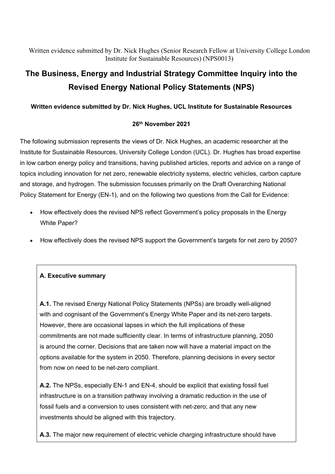Written evidence submitted by Dr. Nick Hughes (Senior Research Fellow at University College London Institute for Sustainable Resources) (NPS0013)

# **The Business, Energy and Industrial Strategy Committee Inquiry into the Revised Energy National Policy Statements (NPS)**

#### **Written evidence submitted by Dr. Nick Hughes, UCL Institute for Sustainable Resources**

#### **26th November 2021**

The following submission represents the views of Dr. Nick Hughes, an academic researcher at the Institute for Sustainable Resources, University College London (UCL). Dr. Hughes has broad expertise in low carbon energy policy and transitions, having published articles, reports and advice on a range of topics including innovation for net zero, renewable electricity systems, electric vehicles, carbon capture and storage, and hydrogen. The submission focusses primarily on the Draft Overarching National Policy Statement for Energy (EN-1), and on the following two questions from the Call for Evidence:

- How effectively does the revised NPS reflect Government's policy proposals in the Energy White Paper?
- How effectively does the revised NPS support the Government's targets for net zero by 2050?

#### **A. Executive summary**

**A.1.** The revised Energy National Policy Statements (NPSs) are broadly well-aligned with and cognisant of the Government's Energy White Paper and its net-zero targets. However, there are occasional lapses in which the full implications of these commitments are not made sufficiently clear. In terms of infrastructure planning, 2050 is around the corner. Decisions that are taken now will have a material impact on the options available for the system in 2050. Therefore, planning decisions in every sector from now on need to be net-zero compliant.

**A.2.** The NPSs, especially EN-1 and EN-4, should be explicit that existing fossil fuel infrastructure is on a transition pathway involving a dramatic reduction in the use of fossil fuels and a conversion to uses consistent with net-zero; and that any new investments should be aligned with this trajectory.

**A.3.** The major new requirement of electric vehicle charging infrastructure should have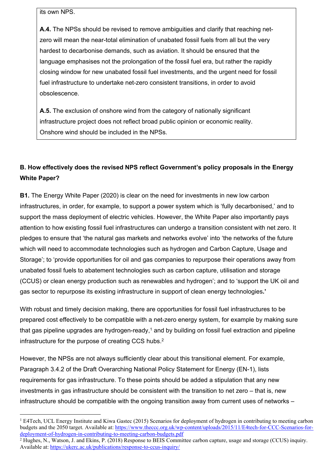its own NPS.

**A.4.** The NPSs should be revised to remove ambiguities and clarify that reaching netzero will mean the near-total elimination of unabated fossil fuels from all but the very hardest to decarbonise demands, such as aviation. It should be ensured that the language emphasises not the prolongation of the fossil fuel era, but rather the rapidly closing window for new unabated fossil fuel investments, and the urgent need for fossil fuel infrastructure to undertake net-zero consistent transitions, in order to avoid obsolescence.

**A.5.** The exclusion of onshore wind from the category of nationally significant infrastructure project does not reflect broad public opinion or economic reality. Onshore wind should be included in the NPSs*.*

## **B. How effectively does the revised NPS reflect Government's policy proposals in the Energy White Paper?**

**B1.** The Energy White Paper (2020) is clear on the need for investments in new low carbon infrastructures, in order, for example, to support a power system which is 'fully decarbonised,' and to support the mass deployment of electric vehicles. However, the White Paper also importantly pays attention to how existing fossil fuel infrastructures can undergo a transition consistent with net zero. It pledges to ensure that 'the natural gas markets and networks evolve' into 'the networks of the future which will need to accommodate technologies such as hydrogen and Carbon Capture, Usage and Storage'; to 'provide opportunities for oil and gas companies to repurpose their operations away from unabated fossil fuels to abatement technologies such as carbon capture, utilisation and storage (CCUS) or clean energy production such as renewables and hydrogen'; and to 'support the UK oil and gas sector to repurpose its existing infrastructure in support of clean energy technologies**.'**

With robust and timely decision making, there are opportunities for fossil fuel infrastructures to be prepared cost effectively to be compatible with a net-zero energy system, for example by making sure that gas pipeline upgrades are hydrogen-ready,<sup>1</sup> and by building on fossil fuel extraction and pipeline infrastructure for the purpose of creating CCS hubs.<sup>2</sup>

However, the NPSs are not always sufficiently clear about this transitional element. For example, Paragraph 3.4.2 of the Draft Overarching National Policy Statement for Energy (EN-1), lists requirements for gas infrastructure. To these points should be added a stipulation that any new investments in gas infrastructure should be consistent with the transition to net zero – that is, new infrastructure should be compatible with the ongoing transition away from current uses of networks –

<sup>1</sup> E4Tech, UCL Energy Institute and Kiwa Gastec (2015) Scenarios for deployment of hydrogen in contributing to meeting carbon budgets and the 2050 target. Available at: [https://www.theccc.org.uk/wp-content/uploads/2015/11/E4tech-for-CCC-Scenarios-for](https://www.theccc.org.uk/wp-content/uploads/2015/11/E4tech-for-CCC-Scenarios-for-deployment-of-hydrogen-in-contributing-to-meeting-carbon-budgets.pdf)[deployment-of-hydrogen-in-contributing-to-meeting-carbon-budgets.pdf](https://www.theccc.org.uk/wp-content/uploads/2015/11/E4tech-for-CCC-Scenarios-for-deployment-of-hydrogen-in-contributing-to-meeting-carbon-budgets.pdf)

<sup>&</sup>lt;sup>2</sup> Hughes, N., Watson, J. and Ekins, P. (2018) Response to BEIS Committee carbon capture, usage and storage (CCUS) inquiry. Available at: <https://ukerc.ac.uk/publications/response-to-ccus-inquiry/>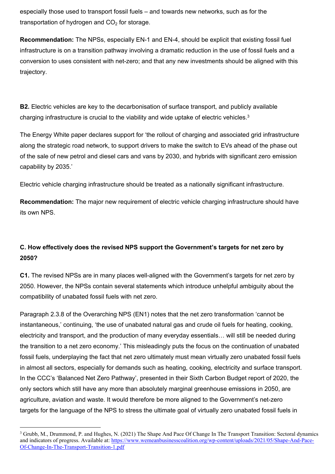especially those used to transport fossil fuels – and towards new networks, such as for the transportation of hydrogen and  $CO<sub>2</sub>$  for storage.

**Recommendation:** The NPSs, especially EN-1 and EN-4, should be explicit that existing fossil fuel infrastructure is on a transition pathway involving a dramatic reduction in the use of fossil fuels and a conversion to uses consistent with net-zero; and that any new investments should be aligned with this trajectory.

**B2.** Electric vehicles are key to the decarbonisation of surface transport, and publicly available charging infrastructure is crucial to the viability and wide uptake of electric vehicles.<sup>3</sup>

The Energy White paper declares support for 'the rollout of charging and associated grid infrastructure along the strategic road network, to support drivers to make the switch to EVs ahead of the phase out of the sale of new petrol and diesel cars and vans by 2030, and hybrids with significant zero emission capability by 2035.'

Electric vehicle charging infrastructure should be treated as a nationally significant infrastructure.

**Recommendation:** The major new requirement of electric vehicle charging infrastructure should have its own NPS.

## **C. How effectively does the revised NPS support the Government's targets for net zero by 2050?**

**C1.** The revised NPSs are in many places well-aligned with the Government's targets for net zero by 2050. However, the NPSs contain several statements which introduce unhelpful ambiguity about the compatibility of unabated fossil fuels with net zero.

Paragraph 2.3.8 of the Overarching NPS (EN1) notes that the net zero transformation 'cannot be instantaneous,' continuing, 'the use of unabated natural gas and crude oil fuels for heating, cooking, electricity and transport, and the production of many everyday essentials… will still be needed during the transition to a net zero economy.' This misleadingly puts the focus on the continuation of unabated fossil fuels, underplaying the fact that net zero ultimately must mean virtually zero unabated fossil fuels in almost all sectors, especially for demands such as heating, cooking, electricity and surface transport. In the CCC's 'Balanced Net Zero Pathway', presented in their Sixth Carbon Budget report of 2020, the only sectors which still have any more than absolutely marginal greenhouse emissions in 2050, are agriculture, aviation and waste. It would therefore be more aligned to the Government's net-zero targets for the language of the NPS to stress the ultimate goal of virtually zero unabated fossil fuels in

<sup>&</sup>lt;sup>3</sup> Grubb, M., Drummond, P. and Hughes, N. (2021) The Shape And Pace Of Change In The Transport Transition: Sectoral dynamics and indicators of progress. Available at: [https://www.wemeanbusinesscoalition.org/wp-content/uploads/2021/05/Shape-And-Pace-](https://www.wemeanbusinesscoalition.org/wp-content/uploads/2021/05/Shape-And-Pace-Of-Change-In-The-Transport-Transition-1.pdf)[Of-Change-In-The-Transport-Transition-1.pdf](https://www.wemeanbusinesscoalition.org/wp-content/uploads/2021/05/Shape-And-Pace-Of-Change-In-The-Transport-Transition-1.pdf)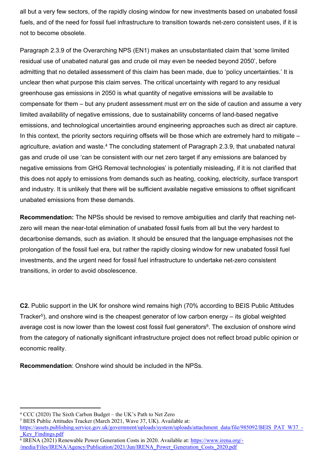all but a very few sectors, of the rapidly closing window for new investments based on unabated fossil fuels, and of the need for fossil fuel infrastructure to transition towards net-zero consistent uses, if it is not to become obsolete.

Paragraph 2.3.9 of the Overarching NPS (EN1) makes an unsubstantiated claim that 'some limited residual use of unabated natural gas and crude oil may even be needed beyond 2050', before admitting that no detailed assessment of this claim has been made, due to 'policy uncertainties.' It is unclear then what purpose this claim serves. The critical uncertainty with regard to any residual greenhouse gas emissions in 2050 is what quantity of negative emissions will be available to compensate for them – but any prudent assessment must err on the side of caution and assume a very limited availability of negative emissions, due to sustainability concerns of land-based negative emissions, and technological uncertainties around engineering approaches such as direct air capture. In this context, the priority sectors requiring offsets will be those which are extremely hard to mitigate – agriculture, aviation and waste.<sup>4</sup> The concluding statement of Paragraph 2.3.9, that unabated natural gas and crude oil use 'can be consistent with our net zero target if any emissions are balanced by negative emissions from GHG Removal technologies' is potentially misleading, if it is not clarified that this does not apply to emissions from demands such as heating, cooking, electricity, surface transport and industry. It is unlikely that there will be sufficient available negative emissions to offset significant unabated emissions from these demands.

**Recommendation:** The NPSs should be revised to remove ambiguities and clarify that reaching netzero will mean the near-total elimination of unabated fossil fuels from all but the very hardest to decarbonise demands, such as aviation. It should be ensured that the language emphasises not the prolongation of the fossil fuel era, but rather the rapidly closing window for new unabated fossil fuel investments, and the urgent need for fossil fuel infrastructure to undertake net-zero consistent transitions, in order to avoid obsolescence.

**C2.** Public support in the UK for onshore wind remains high (70% according to BEIS Public Attitudes Tracker<sup>5</sup>), and onshore wind is the cheapest generator of low carbon energy – its global weighted average cost is now lower than the lowest cost fossil fuel generators<sup>6</sup>. The exclusion of onshore wind from the category of nationally significant infrastructure project does not reflect broad public opinion or economic reality.

**Recommendation**: Onshore wind should be included in the NPSs*.*

<sup>4</sup> CCC (2020) The Sixth Carbon Budget – the UK's Path to Net Zero

<sup>5</sup> BEIS Public Attitudes Tracker (March 2021, Wave 37, UK). Available at:

[https://assets.publishing.service.gov.uk/government/uploads/system/uploads/attachment\\_data/file/985092/BEIS\\_PAT\\_W37\\_-](https://assets.publishing.service.gov.uk/government/uploads/system/uploads/attachment_data/file/985092/BEIS_PAT_W37_-_Key_Findings.pdf) Key Findings.pdf

<sup>&</sup>lt;sup>6</sup> IRENA (2021) Renewable Power Generation Costs in 2020. Available at: [https://www.irena.org/-](https://www.irena.org/-/media/Files/IRENA/Agency/Publication/2021/Jun/IRENA_Power_Generation_Costs_2020.pdf) [/media/Files/IRENA/Agency/Publication/2021/Jun/IRENA\\_Power\\_Generation\\_Costs\\_2020.pdf](https://www.irena.org/-/media/Files/IRENA/Agency/Publication/2021/Jun/IRENA_Power_Generation_Costs_2020.pdf)